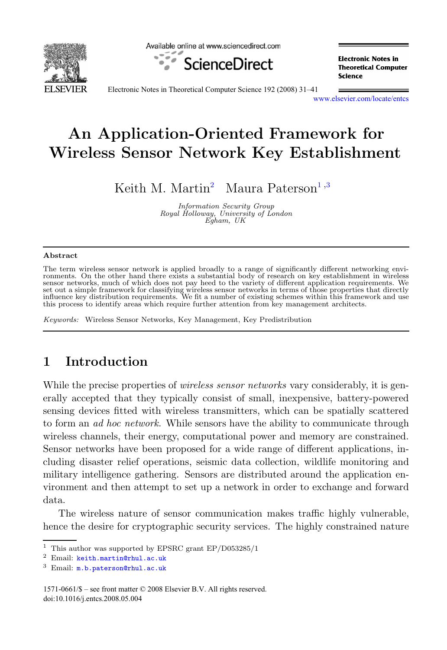

Available online at www.sciencedirect.com



**Electronic Notes in Theoretical Computer** Science

Electronic Notes in Theoretical Computer Science 192 (2008) 31–41

[www.elsevier.com/locate/entcs](http://www.elsevier.com/locate/entcs)

# **An Application-Oriented Framework for Wireless Sensor Network Key Establishment**

Keith M. Martin<sup>2</sup> Maura Paterson<sup>1,3</sup>

Information Security Group Royal Holloway, University of London Egham, UK

#### **Abstract**

The term wireless sensor network is applied broadly to a range of significantly different networking envi-ronments. On the other hand there exists a substantial body of research on key establishment in wireless sensor networks, much of which does not pay heed to the variety of different application requirements. We<br>set out a simple framework for classifying wireless sensor networks in terms of those properties that directly<br>influ this process to identify areas which require further attention from key management architects.

Keywords: Wireless Sensor Networks, Key Management, Key Predistribution

## **1 Introduction**

While the precise properties of *wireless sensor networks* vary considerably, it is generally accepted that they typically consist of small, inexpensive, battery-powered sensing devices fitted with wireless transmitters, which can be spatially scattered to form an ad hoc network. While sensors have the ability to communicate through wireless channels, their energy, computational power and memory are constrained. Sensor networks have been proposed for a wide range of different applications, including disaster relief operations, seismic data collection, wildlife monitoring and military intelligence gathering. Sensors are distributed around the application environment and then attempt to set up a network in order to exchange and forward data.

The wireless nature of sensor communication makes traffic highly vulnerable, hence the desire for cryptographic security services. The highly constrained nature

<sup>&</sup>lt;sup>1</sup> This author was supported by EPSRC grant EP/D053285/1

<sup>2</sup> Email: [keith.martin@rhul.ac.uk](mailto:keith.martin@rhul.ac.uk)

<sup>3</sup> Email: [m.b.paterson@rhul.ac.uk](mailto:m.b.paterson@rhul.ac.uk)

<sup>1571-0661/\$ –</sup> see front matter © 2008 Elsevier B.V. All rights reserved. doi:10.1016/j.entcs.2008.05.004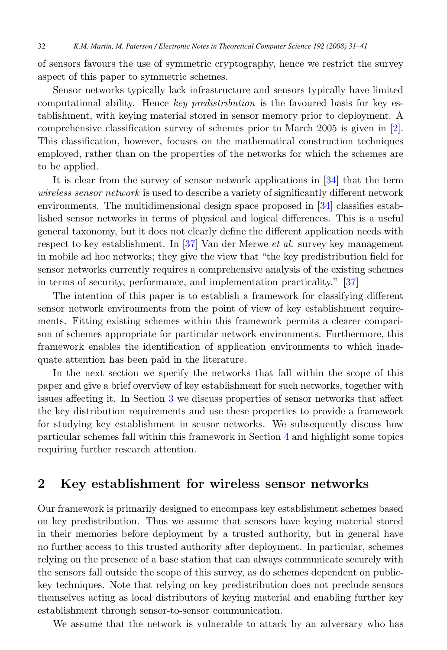of sensors favours the use of symmetric cryptography, hence we restrict the survey aspect of this paper to symmetric schemes.

Sensor networks typically lack infrastructure and sensors typically have limited computational ability. Hence key predistribution is the favoured basis for key establishment, with keying material stored in sensor memory prior to deployment. A comprehensive classification survey of schemes prior to March 2005 is given in [\[2\]](#page-8-0). This classification, however, focuses on the mathematical construction techniques employed, rather than on the properties of the networks for which the schemes are to be applied.

It is clear from the survey of sensor network applications in [\[34\]](#page-10-0) that the term wireless sensor network is used to describe a variety of significantly different network environments. The multidimensional design space proposed in [\[34\]](#page-10-0) classifies established sensor networks in terms of physical and logical differences. This is a useful general taxonomy, but it does not clearly define the different application needs with respect to key establishment. In [\[37\]](#page-10-0) Van der Merwe et al. survey key management in mobile ad hoc networks; they give the view that "the key predistribution field for sensor networks currently requires a comprehensive analysis of the existing schemes in terms of security, performance, and implementation practicality." [\[37\]](#page-10-0)

The intention of this paper is to establish a framework for classifying different sensor network environments from the point of view of key establishment requirements. Fitting existing schemes within this framework permits a clearer comparison of schemes appropriate for particular network environments. Furthermore, this framework enables the identification of application environments to which inadequate attention has been paid in the literature.

In the next section we specify the networks that fall within the scope of this paper and give a brief overview of key establishment for such networks, together with issues affecting it. In Section [3](#page-2-0) we discuss properties of sensor networks that affect the key distribution requirements and use these properties to provide a framework for studying key establishment in sensor networks. We subsequently discuss how particular schemes fall within this framework in Section [4](#page-5-0) and highlight some topics requiring further research attention.

## **2 Key establishment for wireless sensor networks**

Our framework is primarily designed to encompass key establishment schemes based on key predistribution. Thus we assume that sensors have keying material stored in their memories before deployment by a trusted authority, but in general have no further access to this trusted authority after deployment. In particular, schemes relying on the presence of a base station that can always communicate securely with the sensors fall outside the scope of this survey, as do schemes dependent on publickey techniques. Note that relying on key predistribution does not preclude sensors themselves acting as local distributors of keying material and enabling further key establishment through sensor-to-sensor communication.

We assume that the network is vulnerable to attack by an adversary who has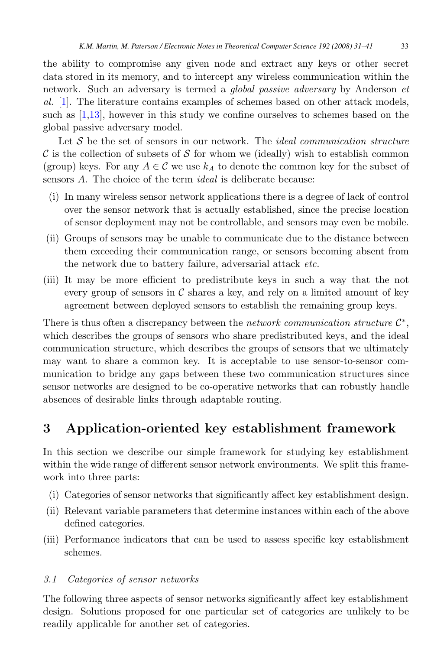<span id="page-2-0"></span>the ability to compromise any given node and extract any keys or other secret data stored in its memory, and to intercept any wireless communication within the network. Such an adversary is termed a global passive adversary by Anderson et al. [\[1\]](#page-8-0). The literature contains examples of schemes based on other attack models, such as [\[1,](#page-8-0)[13\]](#page-9-0), however in this study we confine ourselves to schemes based on the global passive adversary model.

Let  $\mathcal S$  be the set of sensors in our network. The *ideal communication structure*  $\mathcal C$  is the collection of subsets of S for whom we (ideally) wish to establish common (group) keys. For any  $A \in \mathcal{C}$  we use  $k_A$  to denote the common key for the subset of sensors A. The choice of the term *ideal* is deliberate because:

- (i) In many wireless sensor network applications there is a degree of lack of control over the sensor network that is actually established, since the precise location of sensor deployment may not be controllable, and sensors may even be mobile.
- (ii) Groups of sensors may be unable to communicate due to the distance between them exceeding their communication range, or sensors becoming absent from the network due to battery failure, adversarial attack etc.
- (iii) It may be more efficient to predistribute keys in such a way that the not every group of sensors in  $\mathcal C$  shares a key, and rely on a limited amount of key agreement between deployed sensors to establish the remaining group keys.

There is thus often a discrepancy between the *network communication structure*  $\mathcal{C}^*$ , which describes the groups of sensors who share predistributed keys, and the ideal communication structure, which describes the groups of sensors that we ultimately may want to share a common key. It is acceptable to use sensor-to-sensor communication to bridge any gaps between these two communication structures since sensor networks are designed to be co-operative networks that can robustly handle absences of desirable links through adaptable routing.

## **3 Application-oriented key establishment framework**

In this section we describe our simple framework for studying key establishment within the wide range of different sensor network environments. We split this framework into three parts:

- (i) Categories of sensor networks that significantly affect key establishment design.
- (ii) Relevant variable parameters that determine instances within each of the above defined categories.
- (iii) Performance indicators that can be used to assess specific key establishment schemes.

### 3.1 Categories of sensor networks

The following three aspects of sensor networks significantly affect key establishment design. Solutions proposed for one particular set of categories are unlikely to be readily applicable for another set of categories.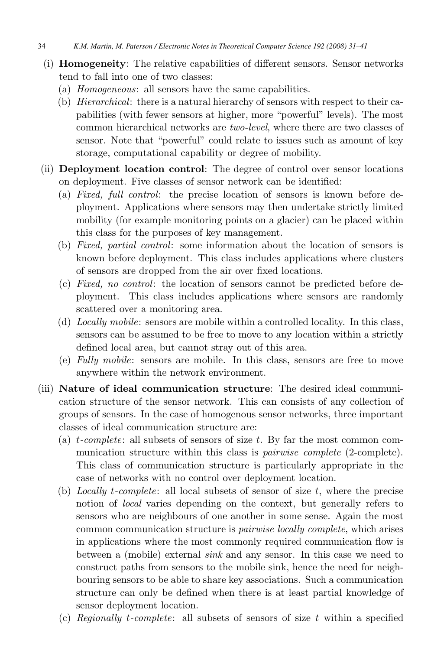34 *K.M. Martin, M. Paterson / Electronic Notes in Theoretical Computer Science 192 (2008) 31–41*

- (i) **Homogeneity**: The relative capabilities of different sensors. Sensor networks tend to fall into one of two classes:
	- (a) Homogeneous: all sensors have the same capabilities.
	- (b) Hierarchical: there is a natural hierarchy of sensors with respect to their capabilities (with fewer sensors at higher, more "powerful" levels). The most common hierarchical networks are two-level, where there are two classes of sensor. Note that "powerful" could relate to issues such as amount of key storage, computational capability or degree of mobility.
- (ii) **Deployment location control**: The degree of control over sensor locations on deployment. Five classes of sensor network can be identified:
	- (a) Fixed, full control: the precise location of sensors is known before deployment. Applications where sensors may then undertake strictly limited mobility (for example monitoring points on a glacier) can be placed within this class for the purposes of key management.
	- (b) Fixed, partial control: some information about the location of sensors is known before deployment. This class includes applications where clusters of sensors are dropped from the air over fixed locations.
	- (c) Fixed, no control: the location of sensors cannot be predicted before deployment. This class includes applications where sensors are randomly scattered over a monitoring area.
	- (d) Locally mobile: sensors are mobile within a controlled locality. In this class, sensors can be assumed to be free to move to any location within a strictly defined local area, but cannot stray out of this area.
	- (e) Fully mobile: sensors are mobile. In this class, sensors are free to move anywhere within the network environment.
- (iii) **Nature of ideal communication structure**: The desired ideal communication structure of the sensor network. This can consists of any collection of groups of sensors. In the case of homogenous sensor networks, three important classes of ideal communication structure are:
	- (a)  $t$ -complete: all subsets of sensors of size  $t$ . By far the most common communication structure within this class is *pairwise complete* (2-complete). This class of communication structure is particularly appropriate in the case of networks with no control over deployment location.
	- (b) Locally t-complete: all local subsets of sensor of size  $t$ , where the precise notion of local varies depending on the context, but generally refers to sensors who are neighbours of one another in some sense. Again the most common communication structure is pairwise locally complete, which arises in applications where the most commonly required communication flow is between a (mobile) external sink and any sensor. In this case we need to construct paths from sensors to the mobile sink, hence the need for neighbouring sensors to be able to share key associations. Such a communication structure can only be defined when there is at least partial knowledge of sensor deployment location.
	- (c) Regionally t-complete: all subsets of sensors of size t within a specified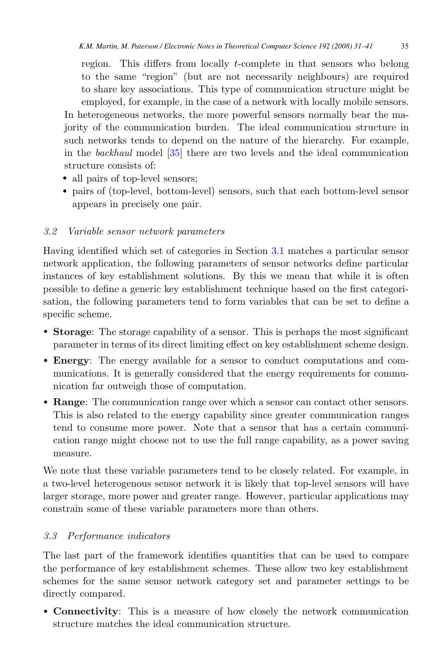region. This differs from locally t-complete in that sensors who belong to the same "region" (but are not necessarily neighbours) are required to share key associations. This type of communication structure might be employed, for example, in the case of a network with locally mobile sensors. In heterogeneous networks, the more powerful sensors normally bear the majority of the communication burden. The ideal communication structure in such networks tends to depend on the nature of the hierarchy. For example, in the backhaul model [\[35\]](#page-10-0) there are two levels and the ideal communication structure consists of:

- all pairs of top-level sensors;
- pairs of (top-level, bottom-level) sensors, such that each bottom-level sensor appears in precisely one pair.

### 3.2 Variable sensor network parameters

Having identified which set of categories in Section [3.1](#page-2-0) matches a particular sensor network application, the following parameters of sensor networks define particular instances of key establishment solutions. By this we mean that while it is often possible to define a generic key establishment technique based on the first categorisation, the following parameters tend to form variables that can be set to define a specific scheme.

- **Storage**: The storage capability of a sensor. This is perhaps the most significant parameter in terms of its direct limiting effect on key establishment scheme design.
- **Energy**: The energy available for a sensor to conduct computations and communications. It is generally considered that the energy requirements for communication far outweigh those of computation.
- **Range**: The communication range over which a sensor can contact other sensors. This is also related to the energy capability since greater communication ranges tend to consume more power. Note that a sensor that has a certain communication range might choose not to use the full range capability, as a power saving measure.

We note that these variable parameters tend to be closely related. For example, in a two-level heterogenous sensor network it is likely that top-level sensors will have larger storage, more power and greater range. However, particular applications may constrain some of these variable parameters more than others.

### 3.3 Performance indicators

The last part of the framework identifies quantities that can be used to compare the performance of key establishment schemes. These allow two key establishment schemes for the same sensor network category set and parameter settings to be directly compared.

• **Connectivity**: This is a measure of how closely the network communication structure matches the ideal communication structure.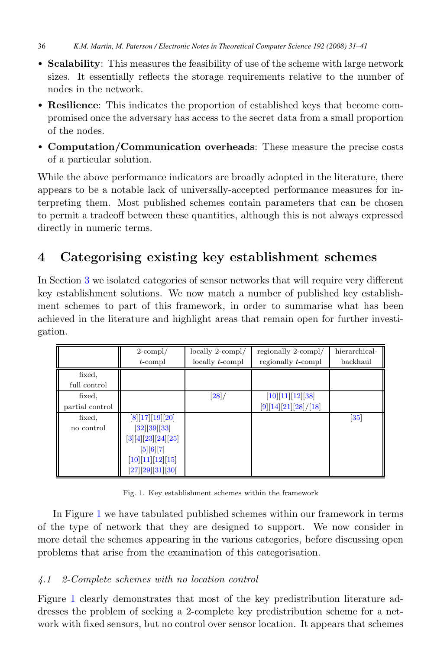<span id="page-5-0"></span>36 *K.M. Martin, M. Paterson / Electronic Notes in Theoretical Computer Science 192 (2008) 31–41*

- **Scalability**: This measures the feasibility of use of the scheme with large network sizes. It essentially reflects the storage requirements relative to the number of nodes in the network.
- **Resilience**: This indicates the proportion of established keys that become compromised once the adversary has access to the secret data from a small proportion of the nodes.
- **Computation/Communication overheads**: These measure the precise costs of a particular solution.

While the above performance indicators are broadly adopted in the literature, there appears to be a notable lack of universally-accepted performance measures for interpreting them. Most published schemes contain parameters that can be chosen to permit a tradeoff between these quantities, although this is not always expressed directly in numeric terms.

## **4 Categorising existing key establishment schemes**

In Section [3](#page-2-0) we isolated categories of sensor networks that will require very different key establishment solutions. We now match a number of published key establishment schemes to part of this framework, in order to summarise what has been achieved in the literature and highlight areas that remain open for further investigation.

|                 | $2$ -compl/          | locally 2-compl/          | regionally 2-compl/    | hierarchical-     |
|-----------------|----------------------|---------------------------|------------------------|-------------------|
|                 | $t$ -compl           | $locally$ <i>t</i> -compl | regionally $t$ -compl  | backhaul          |
| fixed,          |                      |                           |                        |                   |
| full control    |                      |                           |                        |                   |
| fixed,          |                      | [28]                      | $[10][11][12][38]$     |                   |
| partial control |                      |                           | $[9][14][21][28]/[18]$ |                   |
| fixed,          | $[8][17][19][20]$    |                           |                        | $\left[35\right]$ |
| no control      | [32][39][33]         |                           |                        |                   |
|                 | $[3][4][23][24][25]$ |                           |                        |                   |
|                 | [5][6][7]            |                           |                        |                   |
|                 | $[10][11][12][15]$   |                           |                        |                   |
|                 | [27][29][31][30]     |                           |                        |                   |

Fig. 1. Key establishment schemes within the framework

In Figure 1 we have tabulated published schemes within our framework in terms of the type of network that they are designed to support. We now consider in more detail the schemes appearing in the various categories, before discussing open problems that arise from the examination of this categorisation.

### 4.1 2-Complete schemes with no location control

Figure 1 clearly demonstrates that most of the key predistribution literature addresses the problem of seeking a 2-complete key predistribution scheme for a network with fixed sensors, but no control over sensor location. It appears that schemes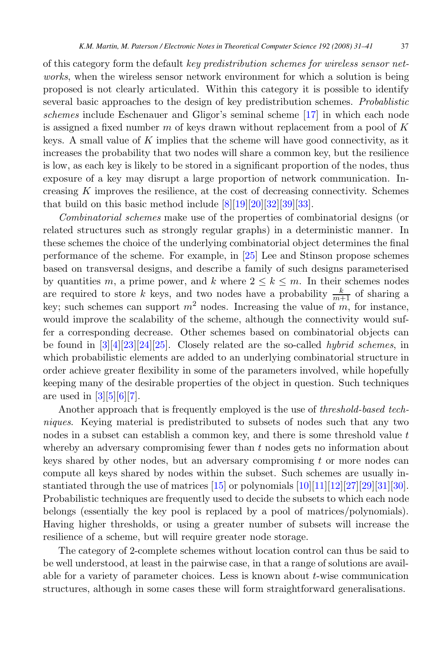of this category form the default key predistribution schemes for wireless sensor networks, when the wireless sensor network environment for which a solution is being proposed is not clearly articulated. Within this category it is possible to identify several basic approaches to the design of key predistribution schemes. Probablistic schemes include Eschenauer and Gligor's seminal scheme [\[17\]](#page-9-0) in which each node is assigned a fixed number m of keys drawn without replacement from a pool of  $K$ keys. A small value of  $K$  implies that the scheme will have good connectivity, as it increases the probability that two nodes will share a common key, but the resilience is low, as each key is likely to be stored in a significant proportion of the nodes, thus exposure of a key may disrupt a large proportion of network communication. Increasing  $K$  improves the resilience, at the cost of decreasing connectivity. Schemes that build on this basic method include  $[8][19][20][32][39][33]$  $[8][19][20][32][39][33]$ .

Combinatorial schemes make use of the properties of combinatorial designs (or related structures such as strongly regular graphs) in a deterministic manner. In these schemes the choice of the underlying combinatorial object determines the final performance of the scheme. For example, in [\[25\]](#page-9-0) Lee and Stinson propose schemes based on transversal designs, and describe a family of such designs parameterised by quantities m, a prime power, and k where  $2 \leq k \leq m$ . In their schemes nodes are required to store k keys, and two nodes have a probability  $\frac{k}{m+1}$  of sharing a key; such schemes can support  $m^2$  nodes. Increasing the value of m, for instance, would improve the scalability of the scheme, although the connectivity would suffer a corresponding decrease. Other schemes based on combinatorial objects can be found in  $\frac{3}{4}[23][24][25]$  $\frac{3}{4}[23][24][25]$ . Closely related are the so-called *hybrid schemes*, in which probabilistic elements are added to an underlying combinatorial structure in order achieve greater flexibility in some of the parameters involved, while hopefully keeping many of the desirable properties of the object in question. Such techniques are used in  $[3][5][6][7]$  $[3][5][6][7]$ .

Another approach that is frequently employed is the use of *threshold-based tech*niques. Keying material is predistributed to subsets of nodes such that any two nodes in a subset can establish a common key, and there is some threshold value  $t$ whereby an adversary compromising fewer than  $t$  nodes gets no information about keys shared by other nodes, but an adversary compromising  $t$  or more nodes can compute all keys shared by nodes within the subset. Such schemes are usually instantiated through the use of matrices  $[15]$  or polynomials  $[10][11][12][27][29][31][30]$  $[10][11][12][27][29][31][30]$ . Probabilistic techniques are frequently used to decide the subsets to which each node belongs (essentially the key pool is replaced by a pool of matrices/polynomials). Having higher thresholds, or using a greater number of subsets will increase the resilience of a scheme, but will require greater node storage.

The category of 2-complete schemes without location control can thus be said to be well understood, at least in the pairwise case, in that a range of solutions are available for a variety of parameter choices. Less is known about  $t$ -wise communication structures, although in some cases these will form straightforward generalisations.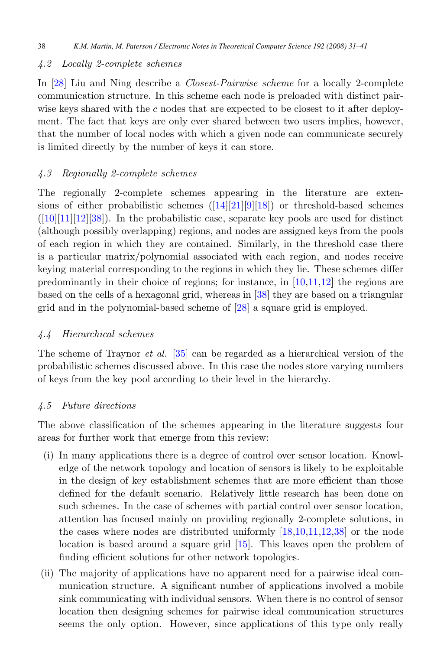### 4.2 Locally 2-complete schemes

In [\[28\]](#page-9-0) Liu and Ning describe a Closest-Pairwise scheme for a locally 2-complete communication structure. In this scheme each node is preloaded with distinct pairwise keys shared with the  $c$  nodes that are expected to be closest to it after deployment. The fact that keys are only ever shared between two users implies, however, that the number of local nodes with which a given node can communicate securely is limited directly by the number of keys it can store.

### 4.3 Regionally 2-complete schemes

The regionally 2-complete schemes appearing in the literature are extensions of either probabilistic schemes  $(14|21|9|18)$  or threshold-based schemes  $([10][11][12][38])$  $([10][11][12][38])$  $([10][11][12][38])$  $([10][11][12][38])$ . In the probabilistic case, separate key pools are used for distinct (although possibly overlapping) regions, and nodes are assigned keys from the pools of each region in which they are contained. Similarly, in the threshold case there is a particular matrix/polynomial associated with each region, and nodes receive keying material corresponding to the regions in which they lie. These schemes differ predominantly in their choice of regions; for instance, in  $[10,11,12]$  the regions are based on the cells of a hexagonal grid, whereas in [\[38\]](#page-10-0) they are based on a triangular grid and in the polynomial-based scheme of [\[28\]](#page-9-0) a square grid is employed.

### 4.4 Hierarchical schemes

The scheme of Traynor et al. [\[35\]](#page-10-0) can be regarded as a hierarchical version of the probabilistic schemes discussed above. In this case the nodes store varying numbers of keys from the key pool according to their level in the hierarchy.

### 4.5 Future directions

The above classification of the schemes appearing in the literature suggests four areas for further work that emerge from this review:

- (i) In many applications there is a degree of control over sensor location. Knowledge of the network topology and location of sensors is likely to be exploitable in the design of key establishment schemes that are more efficient than those defined for the default scenario. Relatively little research has been done on such schemes. In the case of schemes with partial control over sensor location, attention has focused mainly on providing regionally 2-complete solutions, in the cases where nodes are distributed uniformly [\[18,10,11,12,](#page-9-0)[38\]](#page-10-0) or the node location is based around a square grid [\[15\]](#page-9-0). This leaves open the problem of finding efficient solutions for other network topologies.
- (ii) The majority of applications have no apparent need for a pairwise ideal communication structure. A significant number of applications involved a mobile sink communicating with individual sensors. When there is no control of sensor location then designing schemes for pairwise ideal communication structures seems the only option. However, since applications of this type only really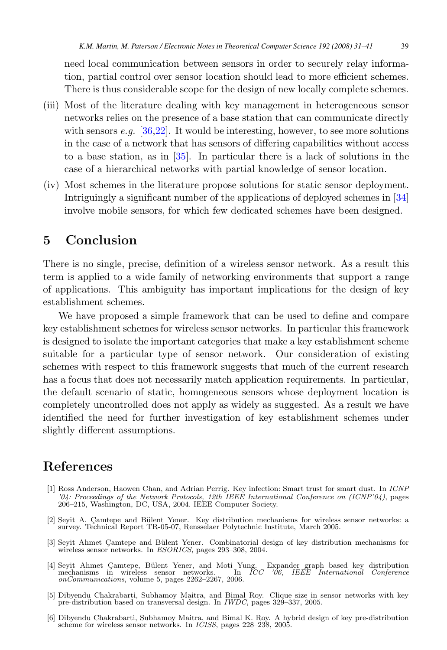<span id="page-8-0"></span>need local communication between sensors in order to securely relay information, partial control over sensor location should lead to more efficient schemes. There is thus considerable scope for the design of new locally complete schemes.

- (iii) Most of the literature dealing with key management in heterogeneous sensor networks relies on the presence of a base station that can communicate directly with sensors  $e.g.$  [\[36,](#page-10-0)[22\]](#page-9-0). It would be interesting, however, to see more solutions in the case of a network that has sensors of differing capabilities without access to a base station, as in [\[35\]](#page-10-0). In particular there is a lack of solutions in the case of a hierarchical networks with partial knowledge of sensor location.
- (iv) Most schemes in the literature propose solutions for static sensor deployment. Intriguingly a significant number of the applications of deployed schemes in [\[34\]](#page-10-0) involve mobile sensors, for which few dedicated schemes have been designed.

## **5 Conclusion**

There is no single, precise, definition of a wireless sensor network. As a result this term is applied to a wide family of networking environments that support a range of applications. This ambiguity has important implications for the design of key establishment schemes.

We have proposed a simple framework that can be used to define and compare key establishment schemes for wireless sensor networks. In particular this framework is designed to isolate the important categories that make a key establishment scheme suitable for a particular type of sensor network. Our consideration of existing schemes with respect to this framework suggests that much of the current research has a focus that does not necessarily match application requirements. In particular, the default scenario of static, homogeneous sensors whose deployment location is completely uncontrolled does not apply as widely as suggested. As a result we have identified the need for further investigation of key establishment schemes under slightly different assumptions.

### **References**

- [1] Ross Anderson, Haowen Chan, and Adrian Perrig. Key infection: Smart trust for smart dust. In ICNP '04: Proceedings of the Network Protocols, 12th IEEE International Conference on (ICNP'04), pages 206–215, Washington, DC, USA, 2004. IEEE Computer Society.
- [2] Sevit A. Camtepe and Bülent Yener. Key distribution mechanisms for wireless sensor networks: a survey. Technical Report TR-05-07, Rensselaer Polytechnic Institute, March 2005.
- [3] Seyit Ahmet Camtepe and Bülent Yener. Combinatorial design of key distribution mechanisms for wireless sensor networks. In *ESORICS*, pages 293–308, 2004.
- [4] Seyit Ahmet Camtepe, Bülent Yener, and Moti Yung. Expander graph based key distribution mechanisms in wireless sensor networks. In *ICC '06, IEEE International Conference* onCommunications, volume 5, pages 2262–2267, 2006.
- [5] Dibyendu Chakrabarti, Subhamoy Maitra, and Bimal Roy. Clique size in sensor networks with key pre-distribution based on transversal design. In IWDC, pages 329–337, 2005.
- [6] Dibyendu Chakrabarti, Subhamoy Maitra, and Bimal K. Roy. A hybrid design of key pre-distribution scheme for wireless sensor networks. In ICISS, pages 228–238, 2005.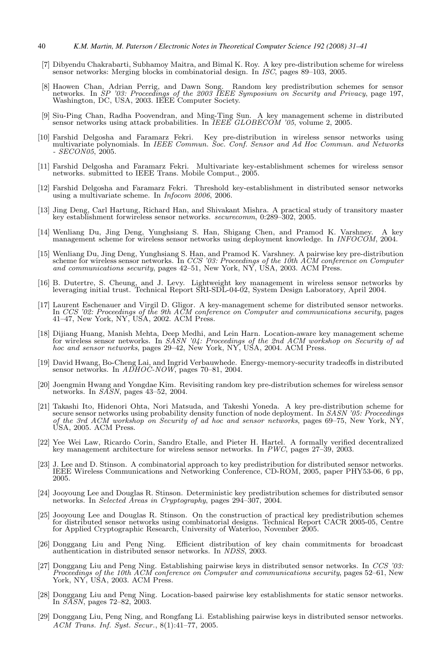- <span id="page-9-0"></span>40 *K.M. Martin, M. Paterson / Electronic Notes in Theoretical Computer Science 192 (2008) 31–41*
- [7] Dibyendu Chakrabarti, Subhamoy Maitra, and Bimal K. Roy. A key pre-distribution scheme for wireless sensor networks: Merging blocks in combinatorial design. In ISC, pages 89–103, 2005.
- [8] Haowen Chan, Adrian Perrig, and Dawn Song. Random key predistribution schemes for sensor networks. In SP '03: Proceedings of the 2003 IEEE Symposium on Security and Privacy, page 197, Washington, DC, USA, 2003. IEEE Computer Society.
- [9] Siu-Ping Chan, Radha Poovendran, and Ming-Ting Sun. A key management scheme in distributed sensor networks using attack probabilities. In *IEEE GLOBECOM '05*, volume 2, 2005.
- [10] Farshid Delgosha and Faramarz Fekri. Key pre-distribution in wireless sensor networks using multivariate polynomials. In IEEE Commun. Soc. Conf. Sensor and Ad Hoc Commun. and Networks  $- SECON05, 2005.$
- [11] Farshid Delgosha and Faramarz Fekri. Multivariate key-establishment schemes for wireless sensor networks. submitted to IEEE Trans. Mobile Comput., 2005.
- [12] Farshid Delgosha and Faramarz Fekri. Threshold key-establishment in distributed sensor networks using a multivariate scheme. In Infocom 2006, 2006.
- [13] Jing Deng, Carl Hartung, Richard Han, and Shivakant Mishra. A practical study of transitory master key establishment forwireless sensor networks. securecomm, 0:289–302, 2005.
- [14] Wenliang Du, Jing Deng, Yunghsiang S. Han, Shigang Chen, and Pramod K. Varshney. A key management scheme for wireless sensor networks using deployment knowledge. In INFOCOM, 2004.
- [15] Wenliang Du, Jing Deng, Yunghsiang S. Han, and Pramod K. Varshney. A pairwise key pre-distribution scheme for wireless sensor networks. In *CCS '03: Proceedings of the 10th ACM conference on Computer and communication*
- [16] B. Dutertre, S. Cheung, and J. Levy. Lightweight key management in wireless sensor networks by leveraging initial trust. Technical Report SRI-SDL-04-02, System Design Laboratory, April 2004.
- [17] Laurent Eschenauer and Virgil D. Gligor. A key-management scheme for distributed sensor networks. In CCS '02: Proceedings of the 9th  $\widetilde{AM}$  conference on Computer and communications security, pages 41–47, New York, NY, USA, 2002. ACM Press.
- [18] Dijiang Huang, Manish Mehta, Deep Medhi, and Lein Harn. Location-aware key management scheme for wireless sensor networks. In *SASN '04: Proceedings of the 2nd ACM workshop on Security of ad* hoc and sensor networks,
- [19] David Hwang, Bo-Cheng Lai, and Ingrid Verbauwhede. Energy-memory-security tradeoffs in distributed sensor networks. In *ADHOC-NOW*, pages 70–81, 2004.
- [20] Joengmin Hwang and Yongdae Kim. Revisiting random key pre-distribution schemes for wireless sensor networks. In SASN, pages 43-52, 2004.
- [21] Takashi Ito, Hidenori Ohta, Nori Matsuda, and Takeshi Yoneda. A key pre-distribution scheme for secure sensor networks using probability density function of node deployment. In SASN '05: Proceedings of the 3rd ACM workshop on Security of ad hoc and sensor networks, pages 69–75, New York,  $N\tilde{Y}$ , USA, 2005. ACM Press.
- [22] Yee Wei Law, Ricardo Corin, Sandro Etalle, and Pieter H. Hartel. A formally verified decentralized key management architecture for wireless sensor networks. In PWC, pages 27–39, 2003.
- [23] J. Lee and D. Stinson. A combinatorial approach to key predistribution for distributed sensor networks. IEEE Wireless Communications and Networking Conference, CD-ROM, 2005, paper PHY53-06, 6 pp, 2005.
- [24] Jooyoung Lee and Douglas R. Stinson. Deterministic key predistribution schemes for distributed sensor networks. In Selected Areas in Cryptography, pages 294-307, 2004.
- [25] Jooyoung Lee and Douglas R. Stinson. On the construction of practical key predistribution schemes for distributed sensor networks using combinatorial designs. Technical Report CACR 2005-05, Centre for Applied Cryptographic Research, University of Waterloo, November 2005.
- [26] Donggang Liu and Peng Ning. Efficient distribution of key chain commitments for broadcast authentication in distributed sensor networks. In NDSS, 2003.
- [27] Donggang Liu and Peng Ning. Establishing pairwise keys in distributed sensor networks. In CCS '03: Proceedings of the 10th ACM conference on Computer and communications security, pages 52–61, New York, NY, USA, 2003. ACM Press.
- [28] Donggang Liu and Peng Ning. Location-based pairwise key establishments for static sensor networks. In SASN, pages 72–82, 2003.
- [29] Donggang Liu, Peng Ning, and Rongfang Li. Establishing pairwise keys in distributed sensor networks. ACM Trans. Inf. Syst. Secur., 8(1):41–77, 2005.